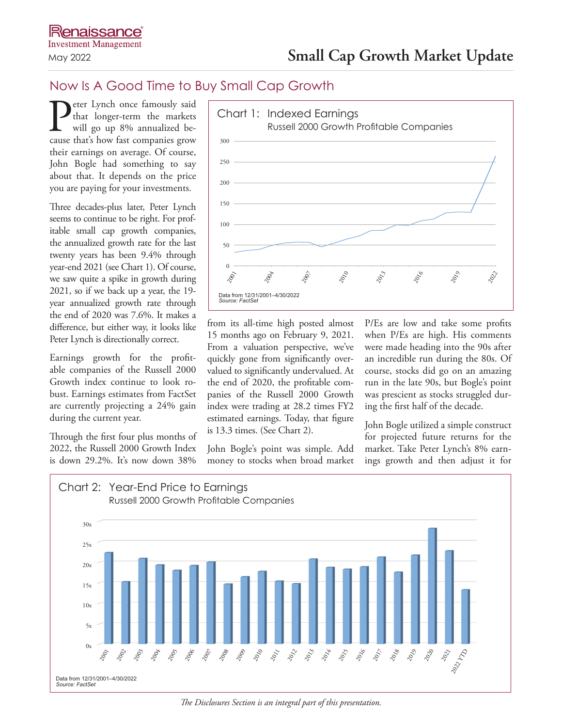## Now Is A Good Time to Buy Small Cap Growth

**P**eter Lynch once famously said<br>that longer-term the markets<br>will go up 8% annualized be-<br>cause that's how fast companies grow that longer-term the markets will go up 8% annualized because that's how fast companies grow their earnings on average. Of course, John Bogle had something to say about that. It depends on the price you are paying for your investments.

Three decades-plus later, Peter Lynch seems to continue to be right. For profitable small cap growth companies, the annualized growth rate for the last twenty years has been 9.4% through year-end 2021 (see Chart 1). Of course, we saw quite a spike in growth during 2021, so if we back up a year, the 19 year annualized growth rate through the end of 2020 was 7.6%. It makes a difference, but either way, it looks like Peter Lynch is directionally correct.

Earnings growth for the profitable companies of the Russell 2000 Growth index continue to look robust. Earnings estimates from FactSet are currently projecting a 24% gain during the current year.

Through the first four plus months of 2022, the Russell 2000 Growth Index is down 29.2%. It's now down 38%



from its all-time high posted almost 15 months ago on February 9, 2021. From a valuation perspective, we've quickly gone from significantly overvalued to significantly undervalued. At the end of 2020, the profitable companies of the Russell 2000 Growth index were trading at 28.2 times FY2 estimated earnings. Today, that figure is 13.3 times. (See Chart 2).

John Bogle's point was simple. Add money to stocks when broad market P/Es are low and take some profits when P/Es are high. His comments were made heading into the 90s after an incredible run during the 80s. Of course, stocks did go on an amazing run in the late 90s, but Bogle's point was prescient as stocks struggled during the first half of the decade.

John Bogle utilized a simple construct for projected future returns for the market. Take Peter Lynch's 8% earnings growth and then adjust it for



*The Disclosures Section is an integral part of this presentation.*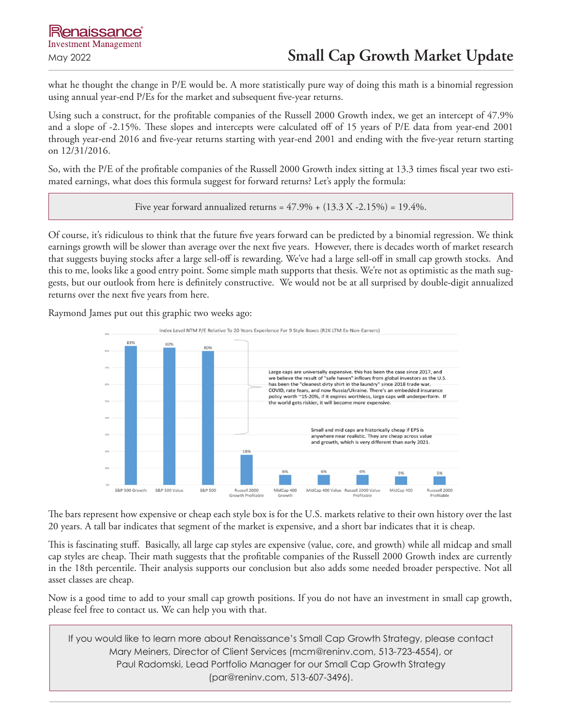what he thought the change in P/E would be. A more statistically pure way of doing this math is a binomial regression using annual year-end P/Es for the market and subsequent five-year returns.

Using such a construct, for the profitable companies of the Russell 2000 Growth index, we get an intercept of 47.9% and a slope of -2.15%. These slopes and intercepts were calculated off of 15 years of P/E data from year-end 2001 through year-end 2016 and five-year returns starting with year-end 2001 and ending with the five-year return starting on 12/31/2016.

So, with the P/E of the profitable companies of the Russell 2000 Growth index sitting at 13.3 times fiscal year two estimated earnings, what does this formula suggest for forward returns? Let's apply the formula:

Five year forward annualized returns =  $47.9\% + (13.3 X - 2.15\%) = 19.4\%$ .

Of course, it's ridiculous to think that the future five years forward can be predicted by a binomial regression. We think earnings growth will be slower than average over the next five years. However, there is decades worth of market research that suggests buying stocks after a large sell-off is rewarding. We've had a large sell-off in small cap growth stocks. And this to me, looks like a good entry point. Some simple math supports that thesis. We're not as optimistic as the math suggests, but our outlook from here is definitely constructive. We would not be at all surprised by double-digit annualized returns over the next five years from here.

Raymond James put out this graphic two weeks ago:



The bars represent how expensive or cheap each style box is for the U.S. markets relative to their own history over the last 20 years. A tall bar indicates that segment of the market is expensive, and a short bar indicates that it is cheap.

This is fascinating stuff. Basically, all large cap styles are expensive (value, core, and growth) while all midcap and small cap styles are cheap. Their math suggests that the profitable companies of the Russell 2000 Growth index are currently in the 18th percentile. Their analysis supports our conclusion but also adds some needed broader perspective. Not all asset classes are cheap.

Now is a good time to add to your small cap growth positions. If you do not have an investment in small cap growth, please feel free to contact us. We can help you with that.

If you would like to learn more about Renaissance's Small Cap Growth Strategy, please contact Mary Meiners, Director of Client Services (mcm@reninv.com, 513-723-4554), or Paul Radomski, Lead Portfolio Manager for our Small Cap Growth Strategy (par@reninv.com, 513-607-3496).